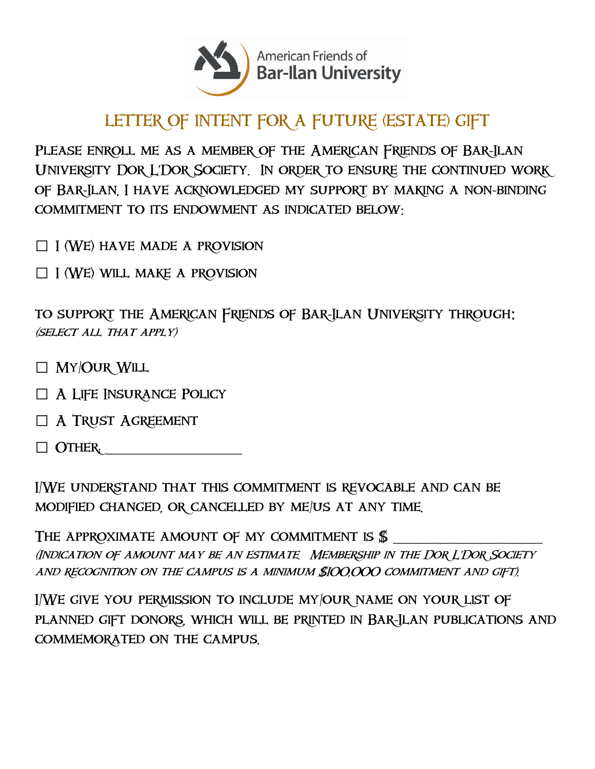

## LETTER OF INTENT FOR A FUTURE (ESTATE) GIFT

PLEASE ENROLL ME AS A MEMBER OF THE AMERICAN FRIENDS OF BAR-ILAN University Dor L'Dor Society. In order to ensure the continued work of Bar-Ilan, I have acknowledged my support by making a non-binding commitment to its endowment as indicated below:

 $\Box$  I (WE) HAVE MADE A PROVISION

 $\Box$  I (WE) WILL MAKE A PROVISION

to support the American Friends of Bar-Ilan University through: (select all that apply)

- □ My/Our Will
- $\Box$  A LIFE INSURANCE POLICY
- $\Box$  A TRUST AGREEMENT
- $\Box$  OTHER:

I/We understand that this commitment is revocable and can be modified changed, or cancelled by me/us at any time.

THE APPROXIMATE AMOUNT OF MY COMMITMENT IS  $$$ (Indication of amount may be an estimate. Membership in the Dor L'Dor Society and recognition on the campus is a minimum \$100,000 commitment and gift).

I/We give you permission to include my/our name on your list of planned gift donors, which will be printed in Bar-Ilan publications and commemorated on the campus.